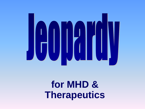

### **for MHD & Therapeutics**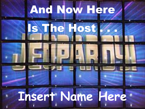# And Now Here

Is The Host

## **Insert Name Here**

**is proud**

**to present**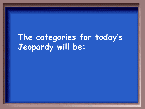### **The categories for today's Jeopardy will be:**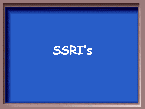## **SSRI's**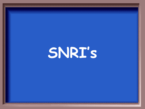# **SNRI's**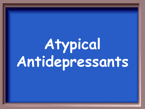# **Atypical Antidepressants**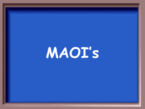# **MAOI's**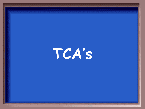# **TCA's**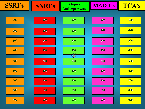| <b>SSRI's</b> | <b>SNRI's</b> | <b>Atypical</b><br><b>Antidepressants</b> | MAO-I's | TCA's      |
|---------------|---------------|-------------------------------------------|---------|------------|
|               |               |                                           |         |            |
| 100           | 100           | 100                                       | 100     | <b>100</b> |
|               |               |                                           |         |            |
| 200           | 200           | 200                                       | 200     | 200        |
| 300           | 300           | 300                                       | 300     | <b>300</b> |
|               |               |                                           |         |            |
| 400           | 400           | 400                                       | 400     | 400        |
|               |               | 明                                         |         |            |
| 500           | 500           | 500                                       | 500     | <b>500</b> |
|               |               |                                           |         |            |
| 600           | 600           | 600                                       | 600     | 600        |
| 700           | 700           | 700                                       | 700     | <b>700</b> |
|               |               |                                           |         |            |
| 800           | 800           | 800                                       | 800     | 800        |
|               |               |                                           |         |            |
| 900           | 900           | 900                                       | 900     | 900        |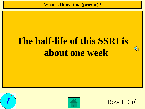What is **fluoxetine (prozac)?**

### **The half-life of this SSRI is about one week**

<span id="page-9-0"></span>



Row 1, Col 1

 $\bigoplus_{i=1}^n$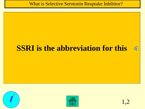What is Selective Serotonin Reuptake Inhibitor?

#### **SSRI is the abbreviation for this**

<span id="page-10-0"></span>





 $\bigoplus_{i=1}^n$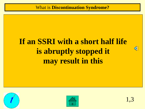#### What is **Discontinuation Syndrome?**

#### **If an SSRI with a short half life is abruptly stopped it may result in this**

<span id="page-11-0"></span>



 $\mathbb{C}$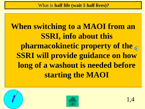What is **half life (wait 5 half lives)?**

**When switching to a MAOI from an SSRI, info about this pharmacokinetic property of the SSRI will provide guidance on how long of a washout is needed before starting the MAOI**

<span id="page-12-0"></span>



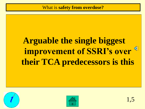#### What is **safety from overdose?**

### **Arguable the single biggest improvement of SSRI's over their TCA predecessors is this**

<span id="page-13-0"></span>

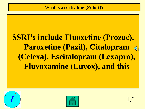#### **SSRI's include Fluoxetine (Prozac), Paroxetine (Paxil), Citalopram**   $\triangleleft$ **(Celexa), Escitalopram (Lexapro), Fluvoxamine (Luvox), and this**

<span id="page-14-0"></span>

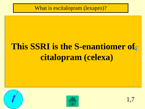#### What is escitalopram (lexapro)?

### **This SSRI is the S-enantiomer of citalopram (celexa)**

<span id="page-15-0"></span>

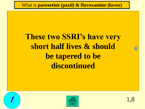What is **paroxetine (paxil) & fluvoxamine (luvox)**

#### **These two SSRI's have very short half lives & should be tapered to be discontinued**

<span id="page-16-0"></span>



C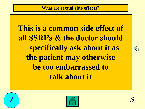**This is a common side effect of all SSRI's & the doctor should specifically ask about it as the patient may otherwise be too embarrassed to talk about it**

<span id="page-17-0"></span>



ৰী€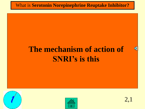#### What is **Serotonin Norepinephrine Reuptake Inhibitor?**

#### **The mechanism of action of SNRI's is this**

<span id="page-18-0"></span>





 $\triangleleft$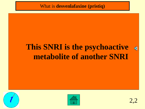What is **desvenlafaxine (pristiq)**

#### **This SNRI is the psychoactive metabolite of another SNRI**

<span id="page-19-0"></span>





 $\blacklozenge$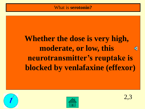#### **Whether the dose is very high, moderate, or low, this**   $\Phi$ **neurotransmitter's reuptake is blocked by venlafaxine (effexor)**

<span id="page-20-0"></span>

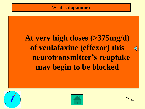#### **At very high doses (>375mg/d) of venlafaxine (effexor) this neurotransmitter's reuptake may begin to be blocked**

<span id="page-21-0"></span>





 $\triangleleft$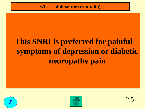What is **duloxetine (cymbalta)**

### **This SNRI is preferred for painful symptoms of depression or diabetic neuropathy pain**

<span id="page-22-0"></span>

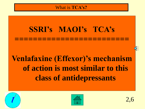#### What is **TCA's?**

### **SSRI's MAOI's TCA's ========================= Venlafaxine (Effexor)'s mechanism of action is most similar to this class of antidepressants**

<span id="page-23-0"></span>

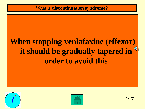### **When stopping venlafaxine (effexor) it should be gradually tapered in order to avoid this**

<span id="page-24-0"></span>



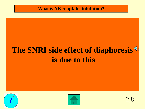What is **NE reuptake inhibition?**

### **The SNRI side effect of diaphoresis is due to this**

<span id="page-25-0"></span>



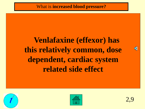### **Venlafaxine (effexor) has this relatively common, dose dependent, cardiac system related side effect**

<span id="page-26-0"></span>



 $\blacksquare$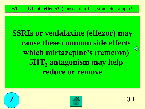**SSRIs or venlafaxine (effexor) may cause these common side effects**  ্⊮ **which mirtazepine's (remeron) 5HT<sup>3</sup> antagonism may help reduce or remove**

<span id="page-27-0"></span>

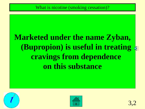### **Marketed under the name Zyban, (Bupropion) is useful in treating cravings from dependence on this substance**

<span id="page-28-0"></span>

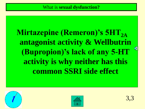Mirtazepine (Remeron)'s 5HT<sub>2A</sub> **antagonist activity & Wellbutrin (Bupropion)'s lack of any 5-HT activity is why neither has this common SSRI side effect** 

<span id="page-29-0"></span>



 $\bigcirc$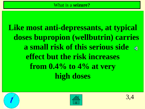**Like most anti-depressants, at typical doses bupropion (wellbutrin) carries a small risk of this serious side effect but the risk increases from 0.4% to 4% at very high doses**

<span id="page-30-0"></span>

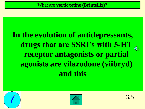### **In the evolution of antidepressants, drugs that are SSRI's with 5-HT receptor antagonists or partial agonists are vilazodone (viibryd) and this**

<span id="page-31-0"></span>

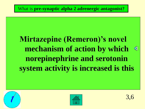#### What is **pre-synaptic alpha 2 adrenergic antagonist?**

#### **Mirtazepine (Remeron)'s novel mechanism of action by which**  া **norepinephrine and serotonin system activity is increased is this**



<span id="page-32-0"></span>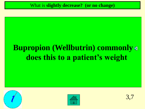### **Bupropion (Wellbutrin) commonly does this to a patient's weight**

<span id="page-33-0"></span>



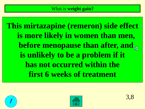**This mirtazapine (remeron) side effect is more likely in women than men, before menopause than after, and is unlikely to be a problem if it has not occurred within the first 6 weeks of treatment** 

<span id="page-34-0"></span>

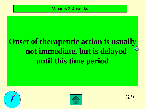#### What is **2-4 weeks**

#### **Onset of therapeutic action is usually**  ₫ **not immediate, but is delayed until this time period**

<span id="page-35-0"></span>

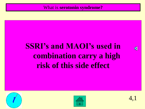What is **serotonin syndrome?**

#### **SSRI's and MAOI's used in combination carry a high risk of this side effect**

<span id="page-36-0"></span>



4,1

 $\blacklozenge$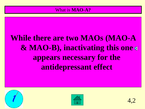#### What is **MAO-A?**

### **While there are two MAOs (MAO-A & MAO-B), inactivating this one appears necessary for the antidepressant effect**

<span id="page-37-0"></span>



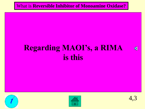#### What is **Reversible Inhibitor of Monoamine Oxidase?**

#### **Regarding MAOI's, a RIMA is this**

<span id="page-38-0"></span>





 $\blacklozenge$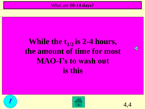#### **While the t1/2 is 2-4 hours, the amount of time for most MAO-I's to wash out is this**

<span id="page-39-0"></span>





 $\blacklozenge$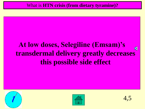#### **At low doses, Selegiline (Emsam)'s**   $\blacklozenge$ **transdermal delivery greatly decreases this possible side effect**

<span id="page-40-0"></span>



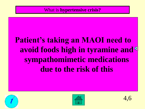#### What is **hypertensive crisis?**

### **Patient's taking an MAOI need to avoid foods high in tyramine and sympathomimetic medications due to the risk of this**

<span id="page-41-0"></span>



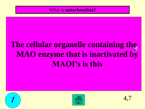#### What is **mitochondria?**

### **The cellular organelle containing the MAO enzyme that is inactivated by MAOI's is this**

<span id="page-42-0"></span>



4,7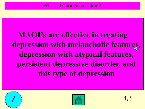**MAOI's are effective in treating depression with melancholic features, depression with atypical features, persistent depressive disorder, and this type of depression**

<span id="page-43-0"></span>



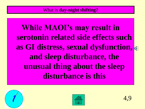**While MAOI's may result in serotonin related side effects such as GI distress, sexual dysfunction, and sleep disturbance, the unusual thing about the sleep disturbance is this** 

<span id="page-44-0"></span>



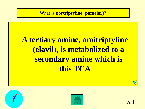What is **nortriptyline (pamelor)?**

### **A tertiary amine, amitriptyline (elavil), is metabolized to a secondary amine which is this TCA**



<span id="page-45-0"></span>

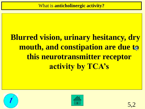### **Blurred vision, urinary hesitancy, dry mouth, and constipation are due to this neurotransmitter receptor activity by TCA's**

<span id="page-46-0"></span>

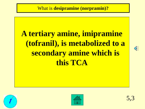### **A tertiary amine, imipramine (tofranil), is metabolized to a secondary amine which is this TCA**







<span id="page-47-0"></span>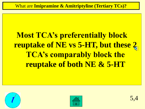What are **Imipramine & Amitriptyline (Tertiary TCs)?**

### **Most TCA's preferentially block reuptake of NE vs 5-HT, but these 2 TCA's comparably block the reuptake of both NE & 5-HT**

<span id="page-48-0"></span>

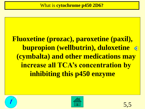**Fluoxetine (prozac), paroxetine (paxil), bupropion (wellbutrin), duloxetine (cymbalta) and other medications may increase all TCA's concentration by inhibiting this p450 enzyme**

<span id="page-49-0"></span>



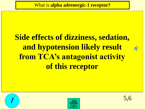### **Side effects of dizziness, sedation, and hypotension likely result from TCA's antagonist activity of this receptor**

<span id="page-50-0"></span>



ক€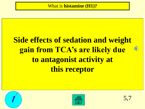### **Side effects of sedation and weight gain from TCA's are likely due to antagonist activity at this receptor**

<span id="page-51-0"></span>





⊕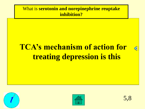What is **serotonin and norepinephrine reuptake inhibition?**

### **TCA's mechanism of action for treating depression is this**

<span id="page-52-0"></span>





 $\triangleleft$